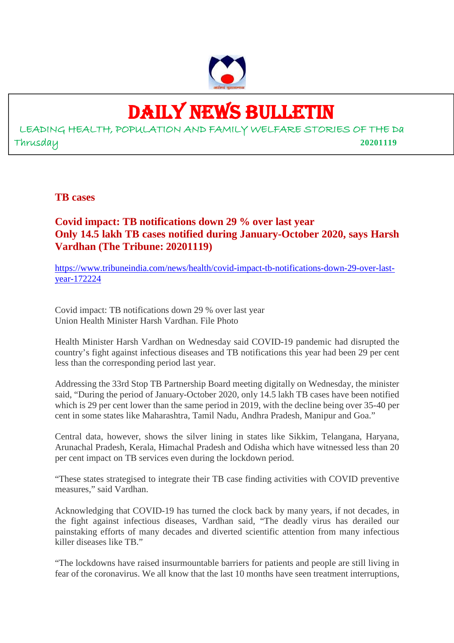

### DAILY NEWS BULLETIN

LEADING HEALTH, POPULATION AND FAMILY WELFARE STORIES OF THE Da Thrusday **20201119**

**TB cases**

**Covid impact: TB notifications down 29 % over last year Only 14.5 lakh TB cases notified during January-October 2020, says Harsh Vardhan (The Tribune: 20201119)**

https://www.tribuneindia.com/news/health/covid-impact-tb-notifications-down-29-over-lastyear-172224

Covid impact: TB notifications down 29 % over last year Union Health Minister Harsh Vardhan. File Photo

Health Minister Harsh Vardhan on Wednesday said COVID-19 pandemic had disrupted the country's fight against infectious diseases and TB notifications this year had been 29 per cent less than the corresponding period last year.

Addressing the 33rd Stop TB Partnership Board meeting digitally on Wednesday, the minister said, "During the period of January-October 2020, only 14.5 lakh TB cases have been notified which is 29 per cent lower than the same period in 2019, with the decline being over 35-40 per cent in some states like Maharashtra, Tamil Nadu, Andhra Pradesh, Manipur and Goa."

Central data, however, shows the silver lining in states like Sikkim, Telangana, Haryana, Arunachal Pradesh, Kerala, Himachal Pradesh and Odisha which have witnessed less than 20 per cent impact on TB services even during the lockdown period.

"These states strategised to integrate their TB case finding activities with COVID preventive measures," said Vardhan.

Acknowledging that COVID-19 has turned the clock back by many years, if not decades, in the fight against infectious diseases, Vardhan said, "The deadly virus has derailed our painstaking efforts of many decades and diverted scientific attention from many infectious killer diseases like TB."

"The lockdowns have raised insurmountable barriers for patients and people are still living in fear of the coronavirus. We all know that the last 10 months have seen treatment interruptions,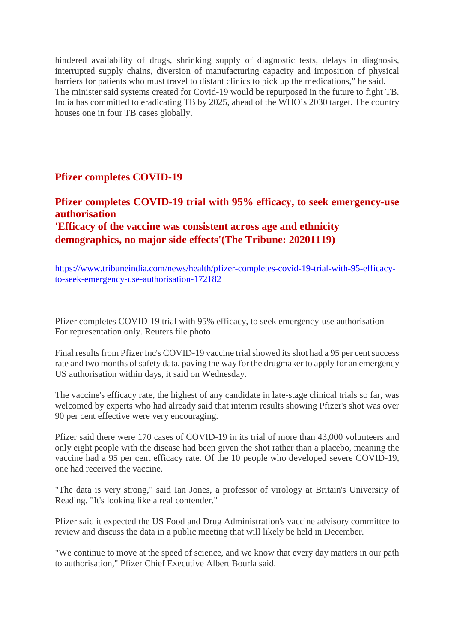hindered availability of drugs, shrinking supply of diagnostic tests, delays in diagnosis, interrupted supply chains, diversion of manufacturing capacity and imposition of physical barriers for patients who must travel to distant clinics to pick up the medications," he said. The minister said systems created for Covid-19 would be repurposed in the future to fight TB. India has committed to eradicating TB by 2025, ahead of the WHO's 2030 target. The country houses one in four TB cases globally.

#### **Pfizer completes COVID-19**

### **Pfizer completes COVID-19 trial with 95% efficacy, to seek emergency-use authorisation 'Efficacy of the vaccine was consistent across age and ethnicity demographics, no major side effects'(The Tribune: 20201119)**

https://www.tribuneindia.com/news/health/pfizer-completes-covid-19-trial-with-95-efficacyto-seek-emergency-use-authorisation-172182

Pfizer completes COVID-19 trial with 95% efficacy, to seek emergency-use authorisation For representation only. Reuters file photo

Final results from Pfizer Inc's COVID-19 vaccine trial showed its shot had a 95 per cent success rate and two months of safety data, paving the way for the drugmaker to apply for an emergency US authorisation within days, it said on Wednesday.

The vaccine's efficacy rate, the highest of any candidate in late-stage clinical trials so far, was welcomed by experts who had already said that interim results showing Pfizer's shot was over 90 per cent effective were very encouraging.

Pfizer said there were 170 cases of COVID-19 in its trial of more than 43,000 volunteers and only eight people with the disease had been given the shot rather than a placebo, meaning the vaccine had a 95 per cent efficacy rate. Of the 10 people who developed severe COVID-19, one had received the vaccine.

"The data is very strong," said Ian Jones, a professor of virology at Britain's University of Reading. "It's looking like a real contender."

Pfizer said it expected the US Food and Drug Administration's vaccine advisory committee to review and discuss the data in a public meeting that will likely be held in December.

"We continue to move at the speed of science, and we know that every day matters in our path to authorisation," Pfizer Chief Executive Albert Bourla said.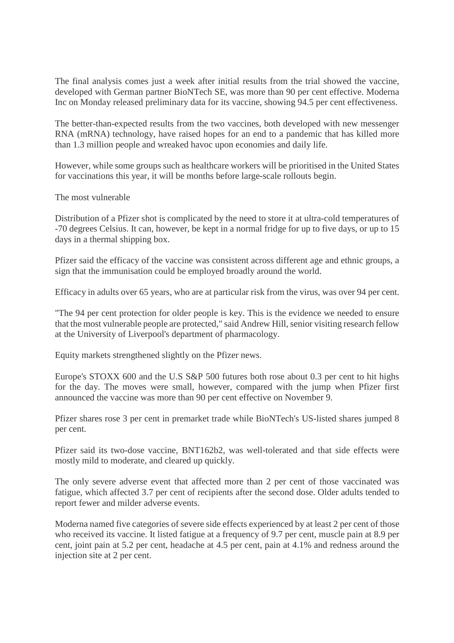The final analysis comes just a week after initial results from the trial showed the vaccine, developed with German partner BioNTech SE, was more than 90 per cent effective. Moderna Inc on Monday released preliminary data for its vaccine, showing 94.5 per cent effectiveness.

The better-than-expected results from the two vaccines, both developed with new messenger RNA (mRNA) technology, have raised hopes for an end to a pandemic that has killed more than 1.3 million people and wreaked havoc upon economies and daily life.

However, while some groups such as healthcare workers will be prioritised in the United States for vaccinations this year, it will be months before large-scale rollouts begin.

The most vulnerable

Distribution of a Pfizer shot is complicated by the need to store it at ultra-cold temperatures of -70 degrees Celsius. It can, however, be kept in a normal fridge for up to five days, or up to 15 days in a thermal shipping box.

Pfizer said the efficacy of the vaccine was consistent across different age and ethnic groups, a sign that the immunisation could be employed broadly around the world.

Efficacy in adults over 65 years, who are at particular risk from the virus, was over 94 per cent.

"The 94 per cent protection for older people is key. This is the evidence we needed to ensure that the most vulnerable people are protected," said Andrew Hill, senior visiting research fellow at the University of Liverpool's department of pharmacology.

Equity markets strengthened slightly on the Pfizer news.

Europe's STOXX 600 and the U.S S&P 500 futures both rose about 0.3 per cent to hit highs for the day. The moves were small, however, compared with the jump when Pfizer first announced the vaccine was more than 90 per cent effective on November 9.

Pfizer shares rose 3 per cent in premarket trade while BioNTech's US-listed shares jumped 8 per cent.

Pfizer said its two-dose vaccine, BNT162b2, was well-tolerated and that side effects were mostly mild to moderate, and cleared up quickly.

The only severe adverse event that affected more than 2 per cent of those vaccinated was fatigue, which affected 3.7 per cent of recipients after the second dose. Older adults tended to report fewer and milder adverse events.

Moderna named five categories of severe side effects experienced by at least 2 per cent of those who received its vaccine. It listed fatigue at a frequency of 9.7 per cent, muscle pain at 8.9 per cent, joint pain at 5.2 per cent, headache at 4.5 per cent, pain at 4.1% and redness around the injection site at 2 per cent.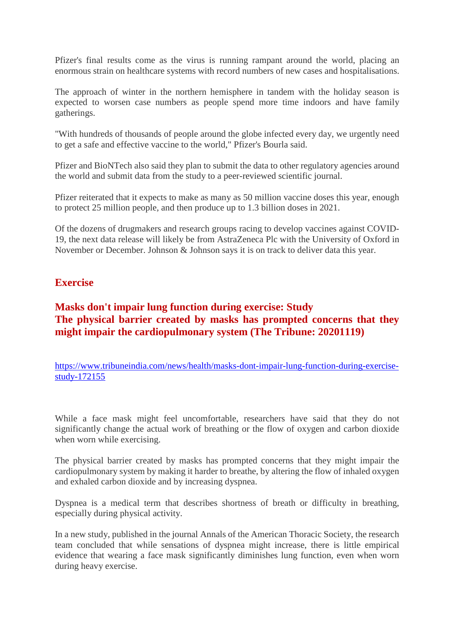Pfizer's final results come as the virus is running rampant around the world, placing an enormous strain on healthcare systems with record numbers of new cases and hospitalisations.

The approach of winter in the northern hemisphere in tandem with the holiday season is expected to worsen case numbers as people spend more time indoors and have family gatherings.

"With hundreds of thousands of people around the globe infected every day, we urgently need to get a safe and effective vaccine to the world," Pfizer's Bourla said.

Pfizer and BioNTech also said they plan to submit the data to other regulatory agencies around the world and submit data from the study to a peer-reviewed scientific journal.

Pfizer reiterated that it expects to make as many as 50 million vaccine doses this year, enough to protect 25 million people, and then produce up to 1.3 billion doses in 2021.

Of the dozens of drugmakers and research groups racing to develop vaccines against COVID-19, the next data release will likely be from AstraZeneca Plc with the University of Oxford in November or December. Johnson & Johnson says it is on track to deliver data this year.

#### **Exercise**

#### **Masks don't impair lung function during exercise: Study The physical barrier created by masks has prompted concerns that they might impair the cardiopulmonary system (The Tribune: 20201119)**

https://www.tribuneindia.com/news/health/masks-dont-impair-lung-function-during-exercisestudy-172155

While a face mask might feel uncomfortable, researchers have said that they do not significantly change the actual work of breathing or the flow of oxygen and carbon dioxide when worn while exercising.

The physical barrier created by masks has prompted concerns that they might impair the cardiopulmonary system by making it harder to breathe, by altering the flow of inhaled oxygen and exhaled carbon dioxide and by increasing dyspnea.

Dyspnea is a medical term that describes shortness of breath or difficulty in breathing, especially during physical activity.

In a new study, published in the journal Annals of the American Thoracic Society, the research team concluded that while sensations of dyspnea might increase, there is little empirical evidence that wearing a face mask significantly diminishes lung function, even when worn during heavy exercise.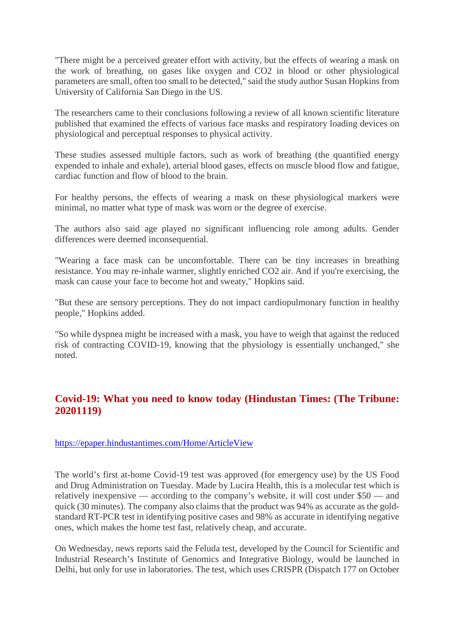"There might be a perceived greater effort with activity, but the effects of wearing a mask on the work of breathing, on gases like oxygen and CO2 in blood or other physiological parameters are small, often too small to be detected," said the study author Susan Hopkins from University of California San Diego in the US.

The researchers came to their conclusions following a review of all known scientific literature published that examined the effects of various face masks and respiratory loading devices on physiological and perceptual responses to physical activity.

These studies assessed multiple factors, such as work of breathing (the quantified energy expended to inhale and exhale), arterial blood gases, effects on muscle blood flow and fatigue, cardiac function and flow of blood to the brain.

For healthy persons, the effects of wearing a mask on these physiological markers were minimal, no matter what type of mask was worn or the degree of exercise.

The authors also said age played no significant influencing role among adults. Gender differences were deemed inconsequential.

"Wearing a face mask can be uncomfortable. There can be tiny increases in breathing resistance. You may re-inhale warmer, slightly enriched CO2 air. And if you're exercising, the mask can cause your face to become hot and sweaty," Hopkins said.

"But these are sensory perceptions. They do not impact cardiopulmonary function in healthy people," Hopkins added.

"So while dyspnea might be increased with a mask, you have to weigh that against the reduced risk of contracting COVID-19, knowing that the physiology is essentially unchanged," she noted.

#### **Covid-19: What you need to know today (Hindustan Times: (The Tribune: 20201119)**

#### https://epaper.hindustantimes.com/Home/ArticleView

The world's first at-home Covid-19 test was approved (for emergency use) by the US Food and Drug Administration on Tuesday. Made by Lucira Health, this is a molecular test which is relatively inexpensive — according to the company's website, it will cost under \$50 — and quick (30 minutes). The company also claims that the product was 94% as accurate as the goldstandard RT-PCR test in identifying positive cases and 98% as accurate in identifying negative ones, which makes the home test fast, relatively cheap, and accurate.

On Wednesday, news reports said the Feluda test, developed by the Council for Scientific and Industrial Research's Institute of Genomics and Integrative Biology, would be launched in Delhi, but only for use in laboratories. The test, which uses CRISPR (Dispatch 177 on October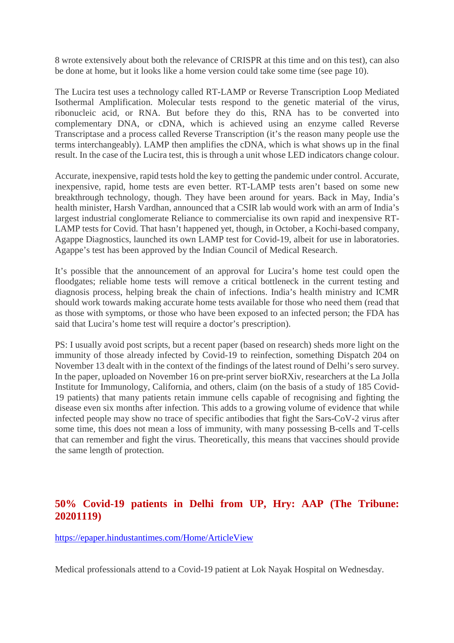8 wrote extensively about both the relevance of CRISPR at this time and on this test), can also be done at home, but it looks like a home version could take some time (see page 10).

The Lucira test uses a technology called RT-LAMP or Reverse Transcription Loop Mediated Isothermal Amplification. Molecular tests respond to the genetic material of the virus, ribonucleic acid, or RNA. But before they do this, RNA has to be converted into complementary DNA, or cDNA, which is achieved using an enzyme called Reverse Transcriptase and a process called Reverse Transcription (it's the reason many people use the terms interchangeably). LAMP then amplifies the cDNA, which is what shows up in the final result. In the case of the Lucira test, this is through a unit whose LED indicators change colour.

Accurate, inexpensive, rapid tests hold the key to getting the pandemic under control. Accurate, inexpensive, rapid, home tests are even better. RT-LAMP tests aren't based on some new breakthrough technology, though. They have been around for years. Back in May, India's health minister, Harsh Vardhan, announced that a CSIR lab would work with an arm of India's largest industrial conglomerate Reliance to commercialise its own rapid and inexpensive RT-LAMP tests for Covid. That hasn't happened yet, though, in October, a Kochi-based company, Agappe Diagnostics, launched its own LAMP test for Covid-19, albeit for use in laboratories. Agappe's test has been approved by the Indian Council of Medical Research.

It's possible that the announcement of an approval for Lucira's home test could open the floodgates; reliable home tests will remove a critical bottleneck in the current testing and diagnosis process, helping break the chain of infections. India's health ministry and ICMR should work towards making accurate home tests available for those who need them (read that as those with symptoms, or those who have been exposed to an infected person; the FDA has said that Lucira's home test will require a doctor's prescription).

PS: I usually avoid post scripts, but a recent paper (based on research) sheds more light on the immunity of those already infected by Covid-19 to reinfection, something Dispatch 204 on November 13 dealt with in the context of the findings of the latest round of Delhi's sero survey. In the paper, uploaded on November 16 on pre-print server bioRXiv, researchers at the La Jolla Institute for Immunology, California, and others, claim (on the basis of a study of 185 Covid-19 patients) that many patients retain immune cells capable of recognising and fighting the disease even six months after infection. This adds to a growing volume of evidence that while infected people may show no trace of specific antibodies that fight the Sars-CoV-2 virus after some time, this does not mean a loss of immunity, with many possessing B-cells and T-cells that can remember and fight the virus. Theoretically, this means that vaccines should provide the same length of protection.

#### **50% Covid-19 patients in Delhi from UP, Hry: AAP (The Tribune: 20201119)**

https://epaper.hindustantimes.com/Home/ArticleView

Medical professionals attend to a Covid-19 patient at Lok Nayak Hospital on Wednesday.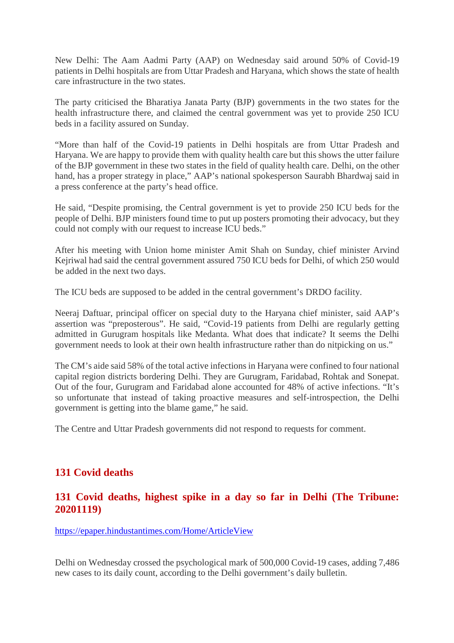New Delhi: The Aam Aadmi Party (AAP) on Wednesday said around 50% of Covid-19 patients in Delhi hospitals are from Uttar Pradesh and Haryana, which shows the state of health care infrastructure in the two states.

The party criticised the Bharatiya Janata Party (BJP) governments in the two states for the health infrastructure there, and claimed the central government was yet to provide 250 ICU beds in a facility assured on Sunday.

"More than half of the Covid-19 patients in Delhi hospitals are from Uttar Pradesh and Haryana. We are happy to provide them with quality health care but this shows the utter failure of the BJP government in these two states in the field of quality health care. Delhi, on the other hand, has a proper strategy in place," AAP's national spokesperson Saurabh Bhardwaj said in a press conference at the party's head office.

He said, "Despite promising, the Central government is yet to provide 250 ICU beds for the people of Delhi. BJP ministers found time to put up posters promoting their advocacy, but they could not comply with our request to increase ICU beds."

After his meeting with Union home minister Amit Shah on Sunday, chief minister Arvind Kejriwal had said the central government assured 750 ICU beds for Delhi, of which 250 would be added in the next two days.

The ICU beds are supposed to be added in the central government's DRDO facility.

Neeraj Daftuar, principal officer on special duty to the Haryana chief minister, said AAP's assertion was "preposterous". He said, "Covid-19 patients from Delhi are regularly getting admitted in Gurugram hospitals like Medanta. What does that indicate? It seems the Delhi government needs to look at their own health infrastructure rather than do nitpicking on us."

The CM's aide said 58% of the total active infections in Haryana were confined to four national capital region districts bordering Delhi. They are Gurugram, Faridabad, Rohtak and Sonepat. Out of the four, Gurugram and Faridabad alone accounted for 48% of active infections. "It's so unfortunate that instead of taking proactive measures and self-introspection, the Delhi government is getting into the blame game," he said.

The Centre and Uttar Pradesh governments did not respond to requests for comment.

#### **131 Covid deaths**

#### **131 Covid deaths, highest spike in a day so far in Delhi (The Tribune: 20201119)**

https://epaper.hindustantimes.com/Home/ArticleView

Delhi on Wednesday crossed the psychological mark of 500,000 Covid-19 cases, adding 7,486 new cases to its daily count, according to the Delhi government's daily bulletin.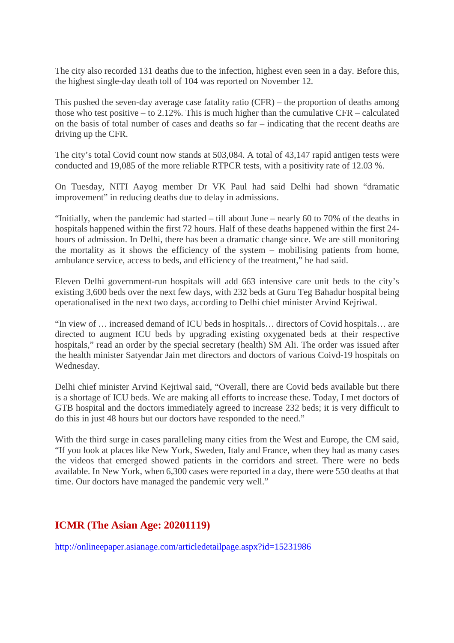The city also recorded 131 deaths due to the infection, highest even seen in a day. Before this, the highest single-day death toll of 104 was reported on November 12.

This pushed the seven-day average case fatality ratio (CFR) – the proportion of deaths among those who test positive – to 2.12%. This is much higher than the cumulative CFR – calculated on the basis of total number of cases and deaths so far – indicating that the recent deaths are driving up the CFR.

The city's total Covid count now stands at 503,084. A total of 43,147 rapid antigen tests were conducted and 19,085 of the more reliable RTPCR tests, with a positivity rate of 12.03 %.

On Tuesday, NITI Aayog member Dr VK Paul had said Delhi had shown "dramatic improvement" in reducing deaths due to delay in admissions.

"Initially, when the pandemic had started – till about June – nearly 60 to 70% of the deaths in hospitals happened within the first 72 hours. Half of these deaths happened within the first 24 hours of admission. In Delhi, there has been a dramatic change since. We are still monitoring the mortality as it shows the efficiency of the system – mobilising patients from home, ambulance service, access to beds, and efficiency of the treatment," he had said.

Eleven Delhi government-run hospitals will add 663 intensive care unit beds to the city's existing 3,600 beds over the next few days, with 232 beds at Guru Teg Bahadur hospital being operationalised in the next two days, according to Delhi chief minister Arvind Kejriwal.

"In view of … increased demand of ICU beds in hospitals… directors of Covid hospitals… are directed to augment ICU beds by upgrading existing oxygenated beds at their respective hospitals," read an order by the special secretary (health) SM Ali. The order was issued after the health minister Satyendar Jain met directors and doctors of various Coivd-19 hospitals on Wednesday.

Delhi chief minister Arvind Kejriwal said, "Overall, there are Covid beds available but there is a shortage of ICU beds. We are making all efforts to increase these. Today, I met doctors of GTB hospital and the doctors immediately agreed to increase 232 beds; it is very difficult to do this in just 48 hours but our doctors have responded to the need."

With the third surge in cases paralleling many cities from the West and Europe, the CM said, "If you look at places like New York, Sweden, Italy and France, when they had as many cases the videos that emerged showed patients in the corridors and street. There were no beds available. In New York, when 6,300 cases were reported in a day, there were 550 deaths at that time. Our doctors have managed the pandemic very well."

#### **ICMR (The Asian Age: 20201119)**

http://onlineepaper.asianage.com/articledetailpage.aspx?id=15231986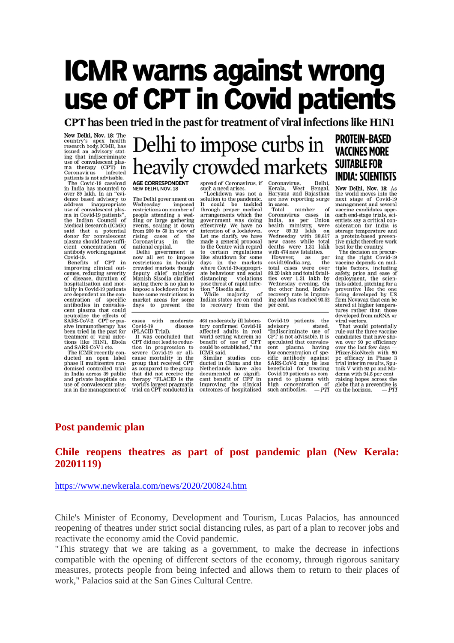## **ICMR warns against wrong** use of CPT in Covid patients

CPT has been tried in the past for treatment of viral infections like H1N1

New Delhi, Nov. 18: The New Benity's apex health<br>research body, ICMR, has<br>issued an advisory stating that indiscriminate use of convalescent plasma therapy (CPT)<br>Coronavirus infe CPT) in<br>infected

patients is not advisable.<br>The Covid-19 caseload in India has mounted to over 89 lakh. In an "evi-<br>dence based advisory to address inappropriate use of convalescent plas-<br>ma in Covid-19 patients".  $\vec{f}$ the Indian Council of<br>Medical Research (ICMR) said that a potential<br>donor for convalescent plasma should have sufficient concentration of antibody working against Covid-19.

Benefits of CPT in<br>improving clinical out-<br>comes, reducing severity of disease, duration of<br>hospitalisation and mortality in Covid-19 patients<br>are dependent on the concentration of specific<br>antibodies in convalesent plasma that could<br>neutralise the effects of<br>SARS-CoV-2. CPT or pas-<br>sive immunotherapy has been tried in the past for<br>treatment of viral infec-<br>tions like H1N1, Ebola and SARS-CoV-1 etc.<br>The ICMR recently con-

ducted an open label<br>phase II multicentre randomised controlled trial in India across 39 public and private hospitals on<br>use of convalescent plasma in the management of

### Delhi to impose curbs in heavily crowded markets

#### **AGE CORRESPONDENT** NEW DELHI, NOV. 18

The Delhi government on Wednesday imposed restrictions on number of people attending a wedding or large gathering<br>events, scaling it down from 200 to 50 in view of riom 200 to 50 in vie<br>rising cases of<br>Coronavirus in the  $the$ national capital.

Delhi government is<br>now all set to impose<br>restrictions in heavily crowded markets though<br>deputy chief minister Manish Sisodia clarified saving there is no plan to impose a lockdown but to have some restrictions in market areas for some<br>days to prevent the

cases with moderate Covid-19<br>Covid-19<br>(PLACID Trial). disease It was concluded that<br>CPT did not lead to reduc-

CPT and not lead to reduction<br>severe Covid-19 or all-<br>cause mortality in the<br>group that received CPT group that received CPT<br>as compared to the group<br>that did not receive the<br>therapy "PLACID is the<br>world's largest pragmatic<br>trial on CPT conducted in spread of Coronavirus, if such a need arises.

'Lockdown was not a solution to the pandemic.<br>It could be tackled through proper medical<br>arrangements which the arrangements winch the<br>government was doing<br>effectively. We have no<br>Let me clarify, we have<br>made a general proposal<br>to the Centre with regard to certain regulations<br>like shutdown for some days in the markets<br>where Covid-19-appropriate behaviour and social distancing violations<br>pose threat of rapid infection," Sisodia said.<br>While majority

of Indian states are on road<br>to recovery from the

464 moderately ill laboratory confirmed Covid-19<br>affected adults in real world setting wherein no benefit of use of CPT could be established," the ICMR said.

CMR said.<br>Similar studies con-<br>ducted in China and the ducted in china and the<br>Netherlands have also<br>documented no significant benefit of CPT in<br>improving the clinical<br>outcomes of hospitalised

Coronavirus. Delhi Kerala, West Bengal,<br>Haryana and Rajasthan Bengal, are now reporting surge in cases.

Total number of Coronavirus cases in India, as per Union<br>health ministry, were over  $89.12$  lakh on Wednesday with  $38.617$  new cases while total deaths were 1.31 lakh with  $474$  new fatalities.<br>However, as per  $\frac{1}{2}$  Total number  $\alpha$ f

However, as<br>covid19India.org, per<br>the total cases were over<br>89.20 lakh and total fatalities over 1.31 lakh by<br>Wednesday evening. On the other hand, India's<br>recovery rate is improving and has reached 93.52 per cent.

Covid-19 patients, the advisory stated. advisory<br>
"Indiscriminate use of<br>
CPT is not advisable. It is<br>
speculated that convales-<br>  $\frac{1}{2}$ <br>  $\frac{1}{2}$ <br>  $\frac{1}{2}$ <br>  $\frac{1}{2}$ <br>  $\frac{1}{2}$ <br>  $\frac{1}{2}$ cent plasma having<br>low concentration of spehaving For antibody against<br>cific antibody against<br>SARS-CoV-2 may be less<br>beneficial for treating<br>Covid-19 patients as compared to plasma with<br>high concentration of  $- PT$ such antibodies.

### **PROTEIN-BASED VACCINES MORE SUITABLE FOR INDIA: SCIENTISTS**

New Delhi, Nov. 18: As the world moves into the next stage of Covid-19<br>management and several vaccine candidates approach end-stage trials, scientists say a critical con-<br>sideration for India is storage temperature and<br>a protein-based preventive might therefore work<br>best for the country.

The decision on procur-<br>ing the right Covid-19<br>vaccine depends on mul-<br>tiple factors, including safety, price and ease of starty, price and ease or<br>deployment, the scientists added, pitching for a<br>preventive like the one<br>being developed by US<br>firm Novavax that can be<br>stored at higher temperatures tures rather than those<br>developed from mRNA or

viral vectors.<br>That would potentially rule out the three vaccine<br>candidates that have shocandidates that have since<br>we over the last few days —<br>Pfizer-BioNtech with 90<br>pc efficacy in Phase 3<br>trial interim results, Sputhat meet in research of the thick V with 92 pc and Mo-<br>derna with 94.5 per cent raising hopes across the<br>globe that a preventive is on the horizon.  $-PTI$ 

#### Post pandemic plan

#### Chile reopens theatres as part of post pandemic plan (New Kerala: 20201119)

#### https://www.newkerala.com/news/2020/200824.htm

Chile's Minister of Economy, Development and Tourism, Lucas Palacios, has announced reopening of the atrices under strict social distancing rules, as part of a plan to recover jobs and reactivate the economy amid the Covid pandemic.

"This strategy that we are taking as a government, to make the decrease in infections compatible with the opening of different sectors of the economy, through rigorous sanitary measures, protects people from being infected and allows them to return to their places of work." Palacios said at the San Gines Cultural Centre.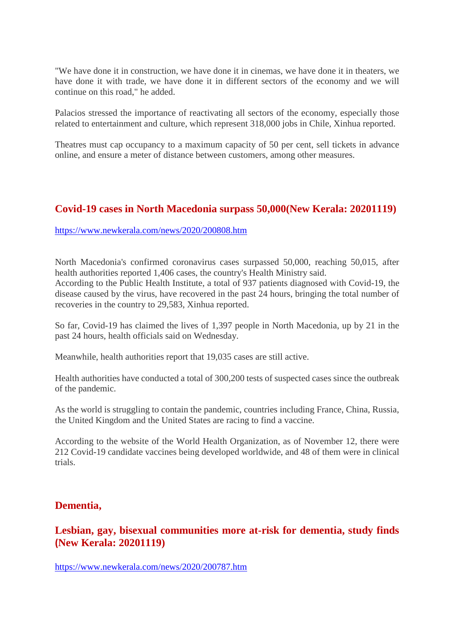"We have done it in construction, we have done it in cinemas, we have done it in theaters, we have done it with trade, we have done it in different sectors of the economy and we will continue on this road," he added.

Palacios stressed the importance of reactivating all sectors of the economy, especially those related to entertainment and culture, which represent 318,000 jobs in Chile, Xinhua reported.

Theatres must cap occupancy to a maximum capacity of 50 per cent, sell tickets in advance online, and ensure a meter of distance between customers, among other measures.

#### **Covid-19 cases in North Macedonia surpass 50,000(New Kerala: 20201119)**

https://www.newkerala.com/news/2020/200808.htm

North Macedonia's confirmed coronavirus cases surpassed 50,000, reaching 50,015, after health authorities reported 1,406 cases, the country's Health Ministry said.

According to the Public Health Institute, a total of 937 patients diagnosed with Covid-19, the disease caused by the virus, have recovered in the past 24 hours, bringing the total number of recoveries in the country to 29,583, Xinhua reported.

So far, Covid-19 has claimed the lives of 1,397 people in North Macedonia, up by 21 in the past 24 hours, health officials said on Wednesday.

Meanwhile, health authorities report that 19,035 cases are still active.

Health authorities have conducted a total of 300,200 tests of suspected cases since the outbreak of the pandemic.

As the world is struggling to contain the pandemic, countries including France, China, Russia, the United Kingdom and the United States are racing to find a vaccine.

According to the website of the World Health Organization, as of November 12, there were 212 Covid-19 candidate vaccines being developed worldwide, and 48 of them were in clinical trials.

#### **Dementia,**

#### **Lesbian, gay, bisexual communities more at-risk for dementia, study finds (New Kerala: 20201119)**

https://www.newkerala.com/news/2020/200787.htm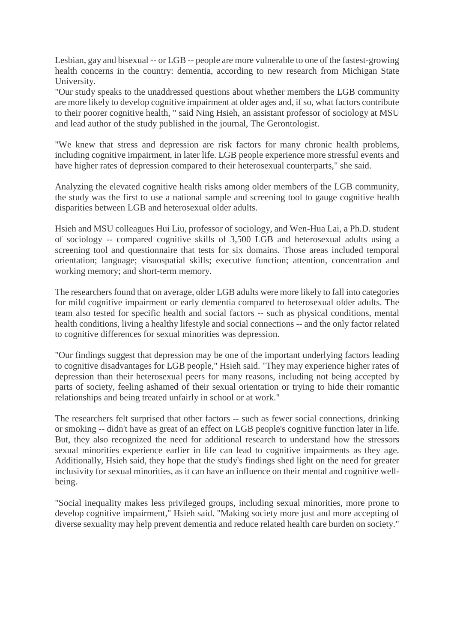Lesbian, gay and bisexual -- or LGB -- people are more vulnerable to one of the fastest-growing health concerns in the country: dementia, according to new research from Michigan State University.

"Our study speaks to the unaddressed questions about whether members the LGB community are more likely to develop cognitive impairment at older ages and, if so, what factors contribute to their poorer cognitive health, " said Ning Hsieh, an assistant professor of sociology at MSU and lead author of the study published in the journal, The Gerontologist.

"We knew that stress and depression are risk factors for many chronic health problems, including cognitive impairment, in later life. LGB people experience more stressful events and have higher rates of depression compared to their heterosexual counterparts," she said.

Analyzing the elevated cognitive health risks among older members of the LGB community, the study was the first to use a national sample and screening tool to gauge cognitive health disparities between LGB and heterosexual older adults.

Hsieh and MSU colleagues Hui Liu, professor of sociology, and Wen-Hua Lai, a Ph.D. student of sociology -- compared cognitive skills of 3,500 LGB and heterosexual adults using a screening tool and questionnaire that tests for six domains. Those areas included temporal orientation; language; visuospatial skills; executive function; attention, concentration and working memory; and short-term memory.

The researchers found that on average, older LGB adults were more likely to fall into categories for mild cognitive impairment or early dementia compared to heterosexual older adults. The team also tested for specific health and social factors -- such as physical conditions, mental health conditions, living a healthy lifestyle and social connections -- and the only factor related to cognitive differences for sexual minorities was depression.

"Our findings suggest that depression may be one of the important underlying factors leading to cognitive disadvantages for LGB people," Hsieh said. "They may experience higher rates of depression than their heterosexual peers for many reasons, including not being accepted by parts of society, feeling ashamed of their sexual orientation or trying to hide their romantic relationships and being treated unfairly in school or at work."

The researchers felt surprised that other factors -- such as fewer social connections, drinking or smoking -- didn't have as great of an effect on LGB people's cognitive function later in life. But, they also recognized the need for additional research to understand how the stressors sexual minorities experience earlier in life can lead to cognitive impairments as they age. Additionally, Hsieh said, they hope that the study's findings shed light on the need for greater inclusivity for sexual minorities, as it can have an influence on their mental and cognitive wellbeing.

"Social inequality makes less privileged groups, including sexual minorities, more prone to develop cognitive impairment," Hsieh said. "Making society more just and more accepting of diverse sexuality may help prevent dementia and reduce related health care burden on society."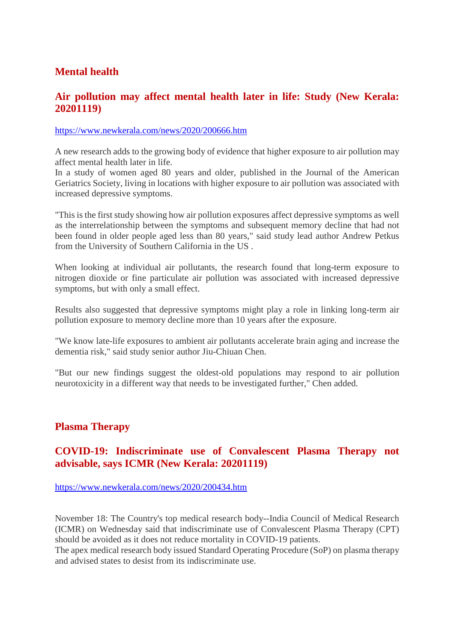#### **Mental health**

#### **Air pollution may affect mental health later in life: Study (New Kerala: 20201119)**

#### https://www.newkerala.com/news/2020/200666.htm

A new research adds to the growing body of evidence that higher exposure to air pollution may affect mental health later in life.

In a study of women aged 80 years and older, published in the Journal of the American Geriatrics Society, living in locations with higher exposure to air pollution was associated with increased depressive symptoms.

"This is the first study showing how air pollution exposures affect depressive symptoms as well as the interrelationship between the symptoms and subsequent memory decline that had not been found in older people aged less than 80 years," said study lead author Andrew Petkus from the University of Southern California in the US .

When looking at individual air pollutants, the research found that long-term exposure to nitrogen dioxide or fine particulate air pollution was associated with increased depressive symptoms, but with only a small effect.

Results also suggested that depressive symptoms might play a role in linking long-term air pollution exposure to memory decline more than 10 years after the exposure.

"We know late-life exposures to ambient air pollutants accelerate brain aging and increase the dementia risk," said study senior author Jiu-Chiuan Chen.

"But our new findings suggest the oldest-old populations may respond to air pollution neurotoxicity in a different way that needs to be investigated further," Chen added.

#### **Plasma Therapy**

#### **COVID-19: Indiscriminate use of Convalescent Plasma Therapy not advisable, says ICMR (New Kerala: 20201119)**

https://www.newkerala.com/news/2020/200434.htm

November 18: The Country's top medical research body--India Council of Medical Research (ICMR) on Wednesday said that indiscriminate use of Convalescent Plasma Therapy (CPT) should be avoided as it does not reduce mortality in COVID-19 patients.

The apex medical research body issued Standard Operating Procedure (SoP) on plasma therapy and advised states to desist from its indiscriminate use.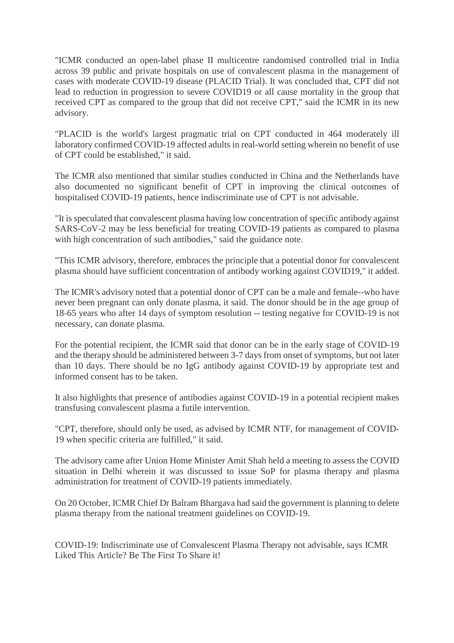"ICMR conducted an open-label phase II multicentre randomised controlled trial in India across 39 public and private hospitals on use of convalescent plasma in the management of cases with moderate COVID-19 disease (PLACID Trial). It was concluded that, CPT did not lead to reduction in progression to severe COVID19 or all cause mortality in the group that received CPT as compared to the group that did not receive CPT," said the ICMR in its new advisory.

"PLACID is the world's largest pragmatic trial on CPT conducted in 464 moderately ill laboratory confirmed COVID-19 affected adults in real-world setting wherein no benefit of use of CPT could be established," it said.

The ICMR also mentioned that similar studies conducted in China and the Netherlands have also documented no significant benefit of CPT in improving the clinical outcomes of hospitalised COVID-19 patients, hence indiscriminate use of CPT is not advisable.

"It is speculated that convalescent plasma having low concentration of specific antibody against SARS-CoV-2 may be less beneficial for treating COVID-19 patients as compared to plasma with high concentration of such antibodies," said the guidance note.

"This ICMR advisory, therefore, embraces the principle that a potential donor for convalescent plasma should have sufficient concentration of antibody working against COVID19," it added.

The ICMR's advisory noted that a potential donor of CPT can be a male and female--who have never been pregnant can only donate plasma, it said. The donor should be in the age group of 18-65 years who after 14 days of symptom resolution -- testing negative for COVID-19 is not necessary, can donate plasma.

For the potential recipient, the ICMR said that donor can be in the early stage of COVID-19 and the therapy should be administered between 3-7 days from onset of symptoms, but not later than 10 days. There should be no IgG antibody against COVID-19 by appropriate test and informed consent has to be taken.

It also highlights that presence of antibodies against COVID-19 in a potential recipient makes transfusing convalescent plasma a futile intervention.

"CPT, therefore, should only be used, as advised by ICMR NTF, for management of COVID-19 when specific criteria are fulfilled," it said.

The advisory came after Union Home Minister Amit Shah held a meeting to assess the COVID situation in Delhi wherein it was discussed to issue SoP for plasma therapy and plasma administration for treatment of COVID-19 patients immediately.

On 20 October, ICMR Chief Dr Balram Bhargava had said the government is planning to delete plasma therapy from the national treatment guidelines on COVID-19.

COVID-19: Indiscriminate use of Convalescent Plasma Therapy not advisable, says ICMR Liked This Article? Be The First To Share it!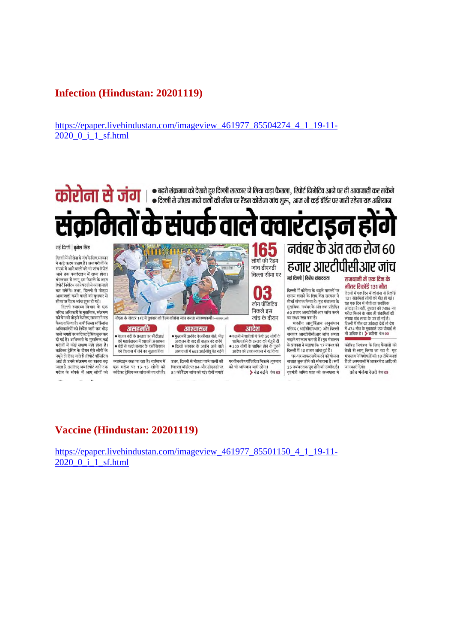#### **Infection (Hindustan: 20201119)**

https://epaper.livehindustan.com/imageview\_461977\_85504274\_4\_1\_19-11-2020\_0\_i\_1\_sf.html



#### नई दिल्ली | बुजेश सिंह

दिल्ली में कोरोना से जंग के लिए सरकार ग्वरण न कारण व ना कारण समय<br>ने कड़े कदम उठाए हैं। अब मरीजों के<br>संपर्क में आने वालों को भी जांच रिपोर्ट आने तक क्वारंटाइन में रहना होगा। .<br>मंगलवार से लाग इस फैसले के तहत रिपोर्ट निगेटिव आने पर ही वे आवाजाही कर सकेंगे। उधर, दिल्ली से नोण्डा आवाजाही करने वालों को बुधवार से

सीमा पर रैंडम जांच शुरू हो गई।<br>दिल्ली स्वास्थ्य विभाग के एक .<br>वरिष्ठ अधिकारी के मुताबिक, संक्रमण<br>की चेन को तोड़ने के लिए सरकार ने यह .<br>फैसला लिया है। सभी जिला सर्विलांस<br>अधिकारियों को निर्देश जारी कर भीड़ .<br>वाले जगहों पर कांटेक्ट ट्रेसिंग शुरू क दी गई है। अधिकारी के मताबिक कई मरीजों में कोई लक्षण नहीं होता है। कटिक्ट टेसिंग के दौरान ऐसे लोगों के नमूने ले लिए जाते हैं। रिपोर्ट पॉजिटिव आई तो उनसे संक्रमण का खतरा बढ जाता है। इसलिए अब रिपोर्ट आने तक मरीज के संपर्क में आए लोगों को



हजार आरटीपीसीआर जांच नई दिल्ली | विशेष संवाददाता राजधानी में एक दिन के

.<br>दिल्ली में कोरोना के बढते मामलों पर दररता न नगरा में कईस नागरता गर<br>लगाम लगाने के लिए केंद्र सरकार ने .<br>मोर्चा संभाल लिया है। गृह मंत्रालय के<br>मुताबिक, नवंबर के अंत तक प्रतिदिन s<br>0 हजार आरटीपीसीआर जांच करने का लक्ष्य रखा गया है।

.<br>भारतीय आयुर्विज्ञान अनुसंधान<br>परिषद (आईसीएमआर) और दिल्ली सरकार आरटीपीसीआर जांच क्षमता बढाने पर काम कर रहे हैं। गृह मंत्रालय .<br>के प्रवक्ता ने बताया कि 17 नवंबर को दिल्ली में 10 हजार जांच हर्र हैं।

घर-घर जाकर सर्वे करने की योजना सप्ताह शुरू होने की संभावना है। सर्वे 25 नवंबर तक पूरा होने की उम्मीद है। गृहमंत्री अमित शाह को अध्यक्षता में

भीतर रिकॉर्ड १३१ मौत दिल्ली में एक दिन में कोरोना से रिकॉर्ड<br>131 संक्रमितों लोगों की मौत हो गई। यह एक दिन में मौतों का सर्वाधिक यह रख है। वहीं, बुधवार को 7486 नए<br>आंकड़ा है। वहीं, बुधवार को 7486 नए संख्या पांच लाख के पार हो गर्द है। संख्या पांच लाख के पार हा गई है।<br>दिल्ली में मौत का आंकड़ा देखें तो देश<br>में 474 मौत के मुकाबले एक चौथाई से भी अधिक है। ▶ ब्योरा पेज ०३

कोविड नियंत्रण के लिए फैसलों को तेजी से लागू किया जा रहा है। गृह<br>मंत्रालय ने विशेषज्ञों की 10 टीमें बनाई हैं जो अस्पतालों में जाकर बेड आदि की जानकारी देंगी।

कोच भेजेगा रेलवे पेज ०३

#### **Vaccine (Hindustan: 20201119)**

https://epaper.livehindustan.com/imageview\_461977\_85501150\_4\_1\_19-11-2020\_0\_i\_1\_sf.html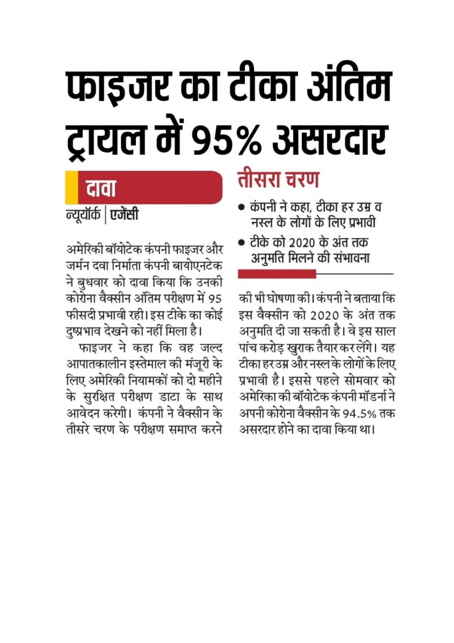# फाइजर का टीका अंतिम ट्रायल में ९५% असरदार

## तीसरा चरण

- कंपनी ने कहा, टीका हर उम्र व नस्ल के लोगों के लिए प्रभावी
- टीके को 2020 के अंत तक अनुमति मिलने की संभावना

की भी घोषणा की। कंपनी ने बताया कि इस वैक्सीन को 2020 के अंत तक अनुमति दी जा सकती है। वे इस साल पांच करोड़ खुराक तैयार कर लेंगे। यह टीका हर उम्र और नस्ल के लोगों के लिए प्रभावी है। इससे पहले सोमवार को अमेरिका की बॉयोटेक कंपनी मॉडर्ना ने अपनी कोरोना वैक्सीन के 94.5% तक असरदार होने का दावा किया था।

## दावा

न्यूयॉर्क | एजेंसी

अमेरिकी बॉयोटेक कंपनी फाइजर और जर्मन दवा निर्माता कंपनी बायोएनटेक ने बुधवार को दावा किया कि उनकी कोरोना वैक्सीन ऑतम परीक्षण में 95 फीसदी प्रभावी रही। इस टीके का कोई दुष्प्रभाव देखने को नहीं मिला है।

फाइजर ने कहा कि वह जल्द आपातकालीन इस्तेमाल की मंजूरी के लिए अमेरिकी नियामकों को दो महीने के सुरक्षित परीक्षण डाटा के साथ आवेदन करेगी। कंपनी ने वैक्सीन के तीसरे चरण के परीक्षण समाप्त करने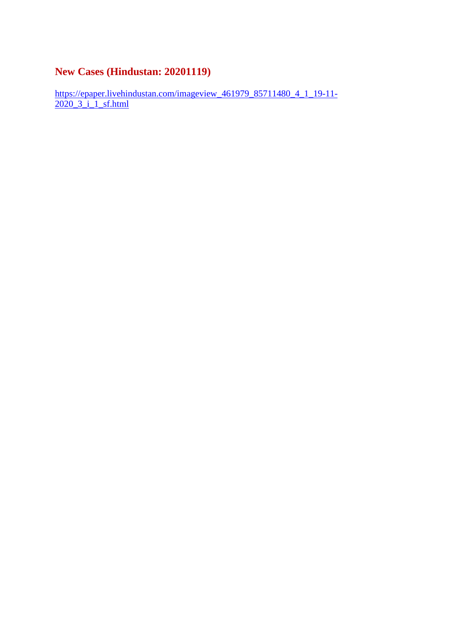### **New Cases (Hindustan: 20201119)**

https://epaper.livehindustan.com/imageview\_461979\_85711480\_4\_1\_19-11-2020\_3\_i\_1\_sf.html